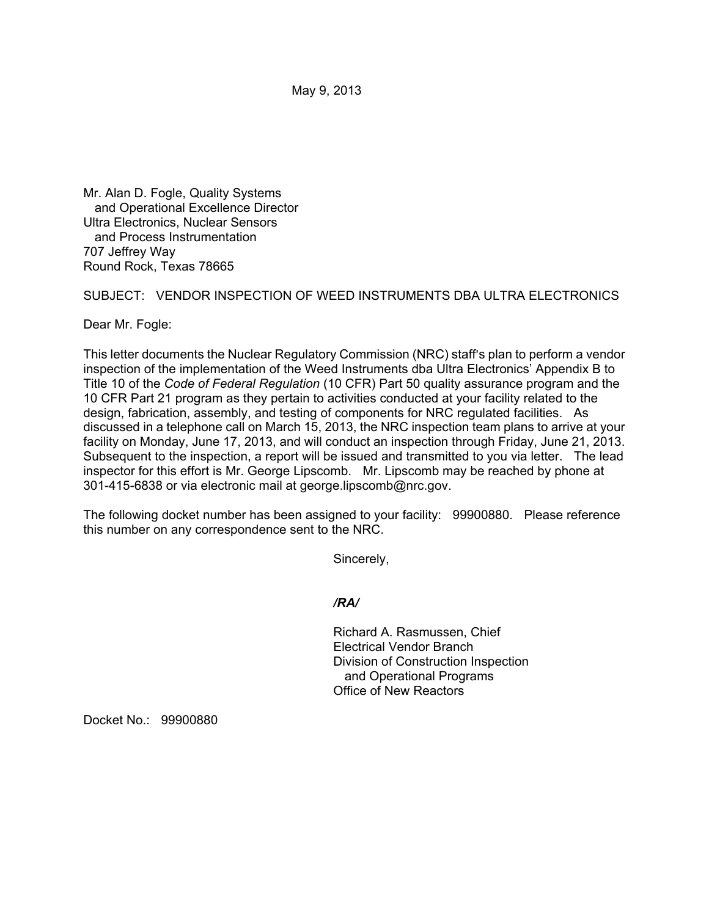May 9, 2013

Mr. Alan D. Fogle, Quality Systems and Operational Excellence Director Ultra Electronics, Nuclear Sensors and Process Instrumentation 707 Jeffrey Way Round Rock, Texas 78665

SUBJECT: VENDOR INSPECTION OF WEED INSTRUMENTS DBA ULTRA ELECTRONICS

Dear Mr. Fogle:

This letter documents the Nuclear Regulatory Commission (NRC) staff's plan to perform a vendor inspection of the implementation of the Weed Instruments dba Ultra Electronics' Appendix B to Title 10 of the *Code of Federal Regulation* (10 CFR) Part 50 quality assurance program and the 10 CFR Part 21 program as they pertain to activities conducted at your facility related to the design, fabrication, assembly, and testing of components for NRC regulated facilities. As discussed in a telephone call on March 15, 2013, the NRC inspection team plans to arrive at your facility on Monday, June 17, 2013, and will conduct an inspection through Friday, June 21, 2013. Subsequent to the inspection, a report will be issued and transmitted to you via letter. The lead inspector for this effort is Mr. George Lipscomb. Mr. Lipscomb may be reached by phone at 301-415-6838 or via electronic mail at george.lipscomb@nrc.gov.

The following docket number has been assigned to your facility: 99900880. Please reference this number on any correspondence sent to the NRC.

Sincerely,

*/RA/* 

Richard A. Rasmussen, Chief Electrical Vendor Branch Division of Construction Inspection and Operational Programs Office of New Reactors

Docket No.: 99900880